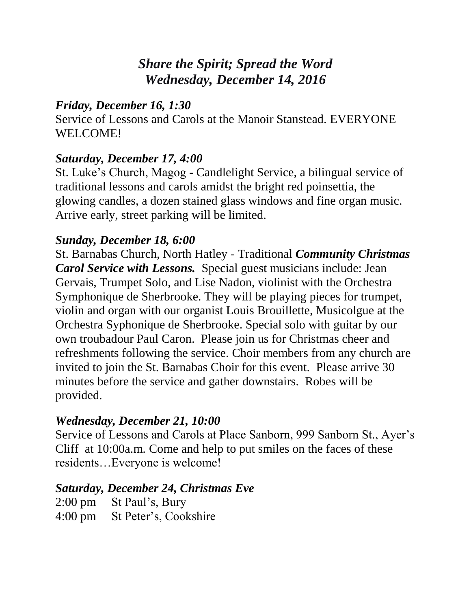# *Share the Spirit; Spread the Word Wednesday, December 14, 2016*

### *Friday, December 16, 1:30*

Service of Lessons and Carols at the Manoir Stanstead. EVERYONE WELCOME!

### *Saturday, December 17, 4:00*

St. Luke's Church, Magog - Candlelight Service, a bilingual service of traditional lessons and carols amidst the bright red poinsettia, the glowing candles, a dozen stained glass windows and fine organ music. Arrive early, street parking will be limited.

### *Sunday, December 18, 6:00*

St. Barnabas Church, North Hatley - Traditional *Community Christmas Carol Service with Lessons.* Special guest musicians include: Jean Gervais, Trumpet Solo, and Lise Nadon, violinist with the Orchestra Symphonique de Sherbrooke. They will be playing pieces for trumpet, violin and organ with our organist Louis Brouillette, Musicolgue at the Orchestra Syphonique de Sherbrooke. Special solo with guitar by our own troubadour Paul Caron. Please join us for Christmas cheer and refreshments following the service. Choir members from any church are invited to join the St. Barnabas Choir for this event. Please arrive 30 minutes before the service and gather downstairs. Robes will be provided.

## *Wednesday, December 21, 10:00*

Service of Lessons and Carols at Place Sanborn, 999 Sanborn St., Ayer's Cliff at 10:00a.m. Come and help to put smiles on the faces of these residents…Everyone is welcome!

#### *Saturday, December 24, Christmas Eve*

| 2:00 pm St Paul's, Bury       |
|-------------------------------|
| 4:00 pm St Peter's, Cookshire |